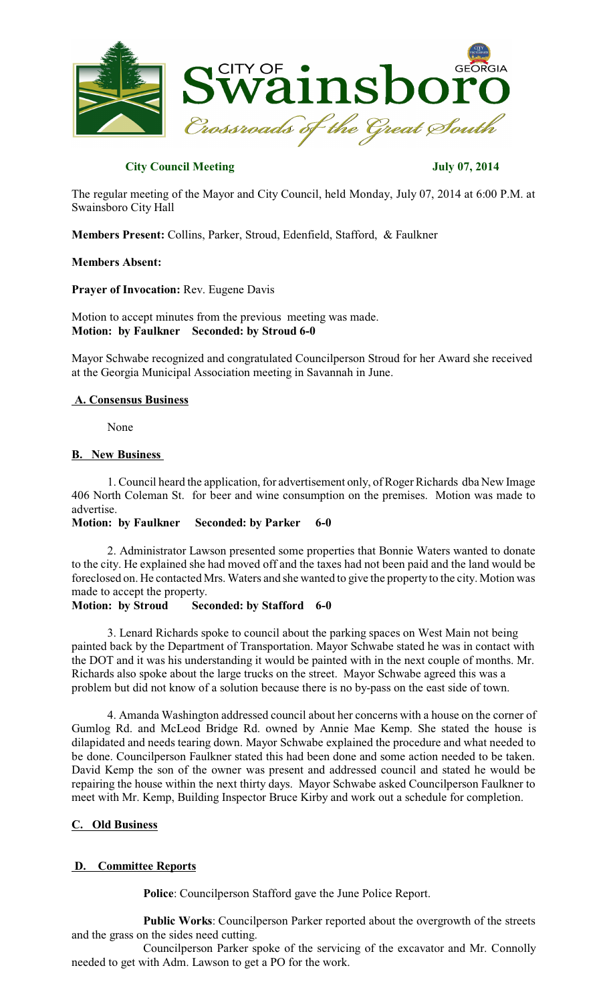

## **City Council Meeting July 07, 2014**

The regular meeting of the Mayor and City Council, held Monday, July 07, 2014 at 6:00 P.M. at Swainsboro City Hall

**Members Present:** Collins, Parker, Stroud, Edenfield, Stafford, & Faulkner

### **Members Absent:**

**Prayer of Invocation:** Rev. Eugene Davis

## Motion to accept minutes from the previous meeting was made. **Motion: by Faulkner Seconded: by Stroud 6-0**

Mayor Schwabe recognized and congratulated Councilperson Stroud for her Award she received at the Georgia Municipal Association meeting in Savannah in June.

## **A. Consensus Business**

None

### **B. New Business**

1. Council heard the application, for advertisement only, of Roger Richards dba New Image 406 North Coleman St. for beer and wine consumption on the premises. Motion was made to advertise.

### **Motion: by Faulkner Seconded: by Parker 6-0**

2. Administrator Lawson presented some properties that Bonnie Waters wanted to donate to the city. He explained she had moved off and the taxes had not been paid and the land would be foreclosed on. He contacted Mrs. Waters and she wanted to give the property to the city. Motion was made to accept the property.

#### **Motion: by Stroud Seconded: by Stafford 6-0**

3. Lenard Richards spoke to council about the parking spaces on West Main not being painted back by the Department of Transportation. Mayor Schwabe stated he was in contact with the DOT and it was his understanding it would be painted with in the next couple of months. Mr. Richards also spoke about the large trucks on the street. Mayor Schwabe agreed this was a problem but did not know of a solution because there is no by-pass on the east side of town.

4. Amanda Washington addressed council about her concerns with a house on the corner of Gumlog Rd. and McLeod Bridge Rd. owned by Annie Mae Kemp. She stated the house is dilapidated and needs tearing down. Mayor Schwabe explained the procedure and what needed to be done. Councilperson Faulkner stated this had been done and some action needed to be taken. David Kemp the son of the owner was present and addressed council and stated he would be repairing the house within the next thirty days. Mayor Schwabe asked Councilperson Faulkner to meet with Mr. Kemp, Building Inspector Bruce Kirby and work out a schedule for completion.

## **C. Old Business**

# **D. Committee Reports**

**Police**: Councilperson Stafford gave the June Police Report.

**Public Works**: Councilperson Parker reported about the overgrowth of the streets and the grass on the sides need cutting.

Councilperson Parker spoke of the servicing of the excavator and Mr. Connolly needed to get with Adm. Lawson to get a PO for the work.